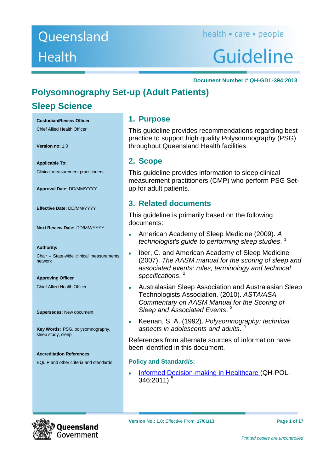## Queensland **Health**

# Guideline

#### **Document Number # QH-GDL-394:2013**

## **Polysomnography Set-up (Adult Patients)**

## **Sleep Science**

**Custodian/Review Officer**:

Chief Allied Health Officer

**Version no:** 1.0

**Applicable To:** Clinical measurement practitioners

**Approval Date:** DD/MM/YYYY

**Effective Date:** DD/MM/YYYY

**Next Review Date:** DD/MM/YYYY

#### **Authority:**

Chair – State-wide clinical measurements network

**Approving Officer** Chief Allied Health Officer

**Supersedes:** New document

**Key Words:** PSG, polysomnography, sleep study, sleep

#### **Accreditation References:**

EQuIP and other criteria and standards

#### **1. Purpose**

This guideline provides recommendations regarding best practice to support high quality Polysomnography (PSG) throughout Queensland Health facilities.

#### **2. Scope**

This guideline provides information to sleep clinical measurement practitioners (CMP) who perform PSG Setup for adult patients.

#### **3. Related documents**

This guideline is primarily based on the following documents:

- American Academy of Sleep Medicine (2009). *A technologist's guide to performing sleep studies*. [1](#page-15-0)
- Iber, C. and American Academy of Sleep Medicine (2007). *The AASM manual for the scoring of sleep and associated events: rules, terminology and technical specifications*. [2](#page-15-1)
- Australasian Sleep Association and Australasian Sleep Technologists Association. (2010). *ASTA/ASA Commentary on AASM Manual for the Scoring of Sleep and Associated Events*. [3](#page-15-2)
- Keenan, S. A. (1992). *Polysomnography: technical aspects in adolescents and adults*. [4](#page-15-3)

References from alternate sources of information have been identified in this document.

#### **Policy and Standard/s:**

[Informed Decision-making in Healthcare](http://www.health.qld.gov.au/qhpolicy/docs/pol/qh-pol-346.pdf) (QH-POL- $346:2011$ <sup>[5](#page-15-4)</sup>

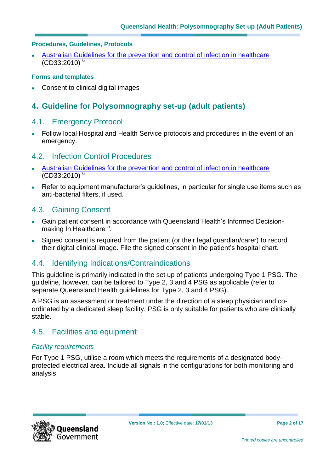#### **Procedures, Guidelines, Protocols**

[Australian Guidelines for the prevention and control of infection in healthcare](http://www.nhmrc.gov.au/node/30290)  $(CD33:2010)^6$  $(CD33:2010)^6$ 

#### **Forms and templates**

Consent to clinical digital images

#### **4. Guideline for Polysomnography set-up (adult patients)**

#### 4.1. Emergency Protocol

Follow local Hospital and Health Service protocols and procedures in the event of an emergency.

#### 4.2. Infection Control Procedures

- [Australian Guidelines for the prevention and control of infection in healthcare](http://www.nhmrc.gov.au/node/30290)  $(CD33:2010)^6$  $(CD33:2010)^6$
- Refer to equipment manufacturer's guidelines, in particular for single use items such as anti-bacterial filters, if used.

#### 4.3. Gaining Consent

- Gain patient consent in accordance with Queensland Health's Informed Decision-making In Healthcare<sup>[5](#page-15-4)</sup>.
- Signed consent is required from the patient (or their legal guardian/carer) to record their digital clinical image. File the signed consent in the patient's hospital chart.

#### 4.4. Identifying Indications/Contraindications

This guideline is primarily indicated in the set up of patients undergoing Type 1 PSG. The guideline, however, can be tailored to Type 2, 3 and 4 PSG as applicable (refer to separate Queensland Health guidelines for Type 2, 3 and 4 PSG).

A PSG is an assessment or treatment under the direction of a sleep physician and coordinated by a dedicated sleep facility. PSG is only suitable for patients who are clinically stable.

#### 4.5. Facilities and equipment

#### *Facility requirements*

For Type 1 PSG, utilise a room which meets the requirements of a designated bodyprotected electrical area. Include all signals in the configurations for both monitoring and analysis.

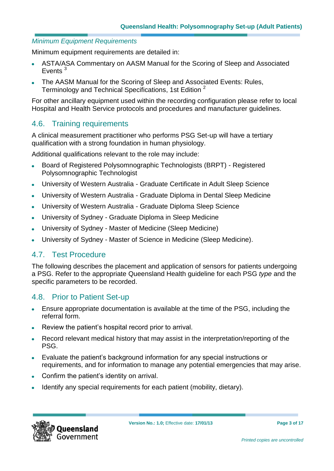#### *Minimum Equipment Requirements*

Minimum equipment requirements are detailed in:

- ASTA/ASA Commentary on AASM Manual for the Scoring of Sleep and Associated Events<sup>[3](#page-15-2)</sup>
- The AASM Manual for the Scoring of Sleep and Associated Events: Rules, Terminology and Technical Specifications, 1st Edition [2](#page-15-1)

For other ancillary equipment used within the recording configuration please refer to local Hospital and Health Service protocols and procedures and manufacturer guidelines.

#### 4.6. Training requirements

A clinical measurement practitioner who performs PSG Set-up will have a tertiary qualification with a strong foundation in human physiology.

Additional qualifications relevant to the role may include:

- Board of Registered Polysomnographic Technologists (BRPT) Registered  $\bullet$ Polysomnographic Technologist
- University of Western Australia Graduate Certificate in Adult Sleep Science  $\bullet$
- University of Western Australia Graduate Diploma in Dental Sleep Medicine
- University of Western Australia Graduate Diploma Sleep Science  $\ddot{\phantom{a}}$
- University of Sydney Graduate Diploma in Sleep Medicine  $\bullet$
- University of Sydney Master of Medicine (Sleep Medicine)  $\bullet$
- University of Sydney Master of Science in Medicine (Sleep Medicine).

#### 4.7. Test Procedure

The following describes the placement and application of sensors for patients undergoing a PSG. Refer to the appropriate Queensland Health guideline for each PSG *type* and the specific parameters to be recorded.

#### 4.8. Prior to Patient Set-up

- Ensure appropriate documentation is available at the time of the PSG, including the referral form.
- Review the patient's hospital record prior to arrival.
- Record relevant medical history that may assist in the interpretation/reporting of the PSG.
- Evaluate the patient's background information for any special instructions or requirements, and for information to manage any potential emergencies that may arise.
- Confirm the patient's identity on arrival.
- Identify any special requirements for each patient (mobility, dietary).

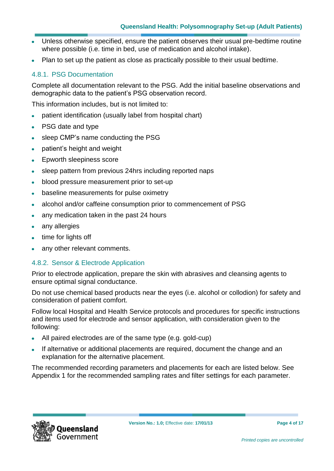- Unless otherwise specified, ensure the patient observes their usual pre-bedtime routine  $\bullet$ where possible (i.e. time in bed, use of medication and alcohol intake).
- Plan to set up the patient as close as practically possible to their usual bedtime.

#### 4.8.1. PSG Documentation

Complete all documentation relevant to the PSG. Add the initial baseline observations and demographic data to the patient's PSG observation record.

This information includes, but is not limited to:

- patient identification (usually label from hospital chart)  $\bullet$
- PSG date and type
- sleep CMP's name conducting the PSG
- patient's height and weight
- Epworth sleepiness score  $\bullet$
- sleep pattern from previous 24hrs including reported naps
- blood pressure measurement prior to set-up  $\bullet$
- baseline measurements for pulse oximetry  $\bullet$
- alcohol and/or caffeine consumption prior to commencement of PSG  $\bullet$
- any medication taken in the past 24 hours  $\bullet$
- any allergies
- time for lights off  $\bullet$
- any other relevant comments.

#### 4.8.2. Sensor & Electrode Application

Prior to electrode application, prepare the skin with abrasives and cleansing agents to ensure optimal signal conductance.

Do not use chemical based products near the eyes (i.e. alcohol or collodion) for safety and consideration of patient comfort.

Follow local Hospital and Health Service protocols and procedures for specific instructions and items used for electrode and sensor application, with consideration given to the following:

- All paired electrodes are of the same type (e.g. gold-cup)
- If alternative or additional placements are required, document the change and an explanation for the alternative placement.

The recommended recording parameters and placements for each are listed below. See Appendix 1 for the recommended sampling rates and filter settings for each parameter.

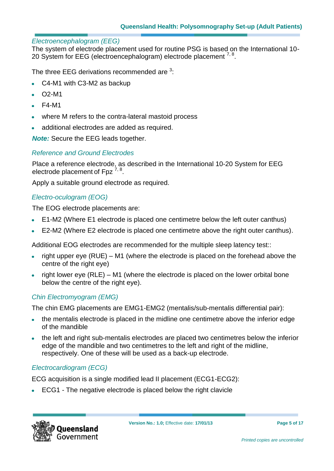#### *Electroencephalogram (EEG)*

The system of electrode placement used for routine PSG is based on the International 10- 20 System for EEG (electroencephalogram) electrode placement  $7, 8$  $7, 8$ .

The three EEG derivations recommended are  $3$ :

- C4-M1 with C3-M2 as backup
- O2-M1
- F4-M1
- where M refers to the contra-lateral mastoid process
- additional electrodes are added as required.

*Note:* Secure the EEG leads together.

#### *Reference and Ground Electrodes*

Place a reference electrode, as described in the International 10-20 System for EEG electrode placement of Fpz  $^{7, 8}$  $^{7, 8}$  $^{7, 8}$  $^{7, 8}$ .

Apply a suitable ground electrode as required.

#### *Electro-oculogram (EOG)*

The EOG electrode placements are:

- E1-M2 (Where E1 electrode is placed one centimetre below the left outer canthus)
- E2-M2 (Where E2 electrode is placed one centimetre above the right outer canthus).

Additional EOG electrodes are recommended for the multiple sleep latency test::

- right upper eye (RUE) M1 (where the electrode is placed on the forehead above the centre of the right eye)
- right lower eye (RLE) M1 (where the electrode is placed on the lower orbital bone below the centre of the right eye).

#### *Chin Electromyogram (EMG)*

The chin EMG placements are EMG1-EMG2 (mentalis/sub-mentalis differential pair):

- the mentalis electrode is placed in the midline one centimetre above the inferior edge of the mandible
- the left and right sub-mentalis electrodes are placed two centimetres below the inferior edge of the mandible and two centimetres to the left and right of the midline, respectively. One of these will be used as a back-up electrode.

#### *Electrocardiogram (ECG)*

ECG acquisition is a single modified lead II placement (ECG1-ECG2):

ECG1 - The negative electrode is placed below the right clavicle

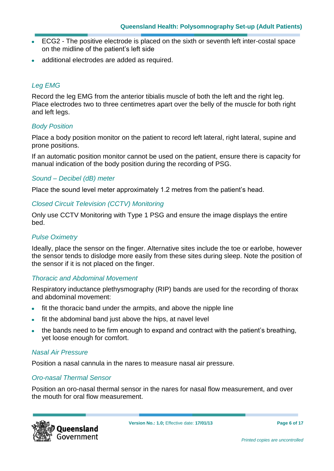- ECG2 The positive electrode is placed on the sixth or seventh left inter-costal space  $\bullet$ on the midline of the patient's left side
- additional electrodes are added as required.

#### *Leg EMG*

Record the leg EMG from the anterior tibialis muscle of both the left and the right leg. Place electrodes two to three centimetres apart over the belly of the muscle for both right and left legs.

#### *Body Position*

Place a body position monitor on the patient to record left lateral, right lateral, supine and prone positions.

If an automatic position monitor cannot be used on the patient, ensure there is capacity for manual indication of the body position during the recording of PSG.

#### *Sound – Decibel (dB) meter*

Place the sound level meter approximately 1.2 metres from the patient's head.

#### *Closed Circuit Television (CCTV) Monitoring*

Only use CCTV Monitoring with Type 1 PSG and ensure the image displays the entire bed.

#### *Pulse Oximetry*

Ideally, place the sensor on the finger. Alternative sites include the toe or earlobe, however the sensor tends to dislodge more easily from these sites during sleep. Note the position of the sensor if it is not placed on the finger.

#### *Thoracic and Abdominal Movement*

Respiratory inductance plethysmography (RIP) bands are used for the recording of thorax and abdominal movement:

- fit the thoracic band under the armpits, and above the nipple line
- fit the abdominal band just above the hips, at navel level
- the bands need to be firm enough to expand and contract with the patient's breathing, yet loose enough for comfort.

#### *Nasal Air Pressure*

Position a nasal cannula in the nares to measure nasal air pressure.

#### *Oro-nasal Thermal Sensor*

Position an oro-nasal thermal sensor in the nares for nasal flow measurement, and over the mouth for oral flow measurement.

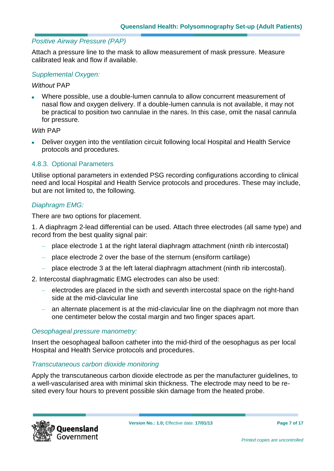#### *Positive Airway Pressure (PAP)*

Attach a pressure line to the mask to allow measurement of mask pressure. Measure calibrated leak and flow if available.

#### *Supplemental Oxygen:*

#### *Without* PAP

Where possible, use a double-lumen cannula to allow concurrent measurement of nasal flow and oxygen delivery. If a double-lumen cannula is not available, it may not be practical to position two cannulae in the nares. In this case, omit the nasal cannula for pressure.

#### *With* PAP

Deliver oxygen into the ventilation circuit following local Hospital and Health Service protocols and procedures.

#### 4.8.3. Optional Parameters

Utilise optional parameters in extended PSG recording configurations according to clinical need and local Hospital and Health Service protocols and procedures. These may include, but are not limited to, the following.

#### *Diaphragm EMG:*

There are two options for placement.

1. A diaphragm 2-lead differential can be used. Attach three electrodes (all same type) and record from the best quality signal pair:

- place electrode 1 at the right lateral diaphragm attachment (ninth rib intercostal)
- place electrode 2 over the base of the sternum (ensiform cartilage)
- place electrode 3 at the left lateral diaphragm attachment (ninth rib intercostal).

2. Intercostal diaphragmatic EMG electrodes can also be used:

- electrodes are placed in the sixth and seventh intercostal space on the right-hand side at the mid-clavicular line
- $-$  an alternate placement is at the mid-clavicular line on the diaphragm not more than one centimeter below the costal margin and two finger spaces apart.

#### *Oesophageal pressure manometry:*

Insert the oesophageal balloon catheter into the mid-third of the oesophagus as per local Hospital and Health Service protocols and procedures.

#### *Transcutaneous carbon dioxide monitoring*

Apply the transcutaneous carbon dioxide electrode as per the manufacturer guidelines, to a well-vascularised area with minimal skin thickness. The electrode may need to be resited every four hours to prevent possible skin damage from the heated probe.

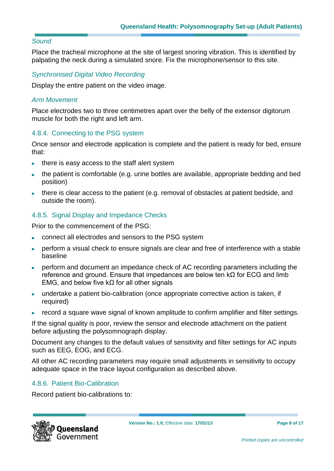#### *Sound*

Place the tracheal microphone at the site of largest snoring vibration. This is identified by palpating the neck during a simulated snore. Fix the microphone/sensor to this site.

#### *Synchronised Digital Video Recording*

Display the entire patient on the video image.

#### *Arm Movement*

Place electrodes two to three centimetres apart over the belly of the extensor digitorum muscle for both the right and left arm.

#### 4.8.4. Connecting to the PSG system

Once sensor and electrode application is complete and the patient is ready for bed, ensure that:

- there is easy access to the staff alert system
- the patient is comfortable (e.g. urine bottles are available, appropriate bedding and bed position)
- there is clear access to the patient (e.g. removal of obstacles at patient bedside, and outside the room).

#### 4.8.5. Signal Display and Impedance Checks

Prior to the commencement of the PSG:

- connect all electrodes and sensors to the PSG system  $\bullet$
- perform a visual check to ensure signals are clear and free of interference with a stable  $\bullet$ baseline
- perform and document an impedance check of AC recording parameters including the reference and ground. Ensure that impedances are below ten kΩ for ECG and limb EMG, and below five k $\Omega$  for all other signals
- undertake a patient bio-calibration (once appropriate corrective action is taken, if required)
- record a square wave signal of known amplitude to confirm amplifier and filter settings.

If the signal quality is poor, review the sensor and electrode attachment on the patient before adjusting the polysomnograph display.

Document any changes to the default values of sensitivity and filter settings for AC inputs such as EEG, EOG, and ECG.

All other AC recording parameters may require small adjustments in sensitivity to occupy adequate space in the trace layout configuration as described above.

#### 4.8.6. Patient Bio-Calibration

Record patient bio-calibrations to:

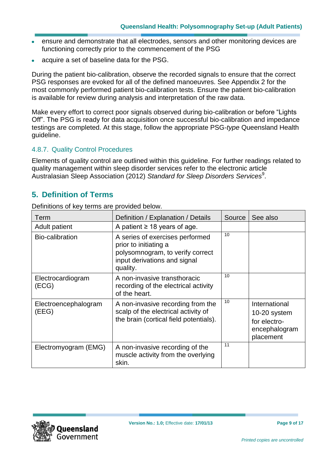- ensure and demonstrate that all electrodes, sensors and other monitoring devices are  $\bullet$ functioning correctly prior to the commencement of the PSG
- acquire a set of baseline data for the PSG.

During the patient bio-calibration, observe the recorded signals to ensure that the correct PSG responses are evoked for all of the defined manoeuvres. See Appendix 2 for the most commonly performed patient bio-calibration tests. Ensure the patient bio-calibration is available for review during analysis and interpretation of the raw data.

Make every effort to correct poor signals observed during bio-calibration or before "Lights Off". The PSG is ready for data acquisition once successful bio-calibration and impedance testings are completed. At this stage, follow the appropriate PSG-*type* Queensland Health guideline.

#### 4.8.7. Quality Control Procedures

Elements of quality control are outlined within this guideline. For further readings related to quality management within sleep disorder services refer to the electronic article Australasian Sleep Association (2012) Standard for Sleep Disorders Services<sup>[9](#page-15-8)</sup>.

#### **5. Definition of Terms**

Definitions of key terms are provided below.

| Term                          | Definition / Explanation / Details                                                                                                       | Source | See also                                                                    |
|-------------------------------|------------------------------------------------------------------------------------------------------------------------------------------|--------|-----------------------------------------------------------------------------|
| <b>Adult patient</b>          | A patient $\geq$ 18 years of age.                                                                                                        |        |                                                                             |
| Bio-calibration               | A series of exercises performed<br>prior to initiating a<br>polysomnogram, to verify correct<br>input derivations and signal<br>quality. | 10     |                                                                             |
| Electrocardiogram<br>(ECG)    | A non-invasive transthoracic<br>recording of the electrical activity<br>of the heart.                                                    | 10     |                                                                             |
| Electroencephalogram<br>(EEG) | A non-invasive recording from the<br>scalp of the electrical activity of<br>the brain (cortical field potentials).                       | 10     | International<br>10-20 system<br>for electro-<br>encephalogram<br>placement |
| Electromyogram (EMG)          | A non-invasive recording of the<br>muscle activity from the overlying<br>skin.                                                           | 11     |                                                                             |

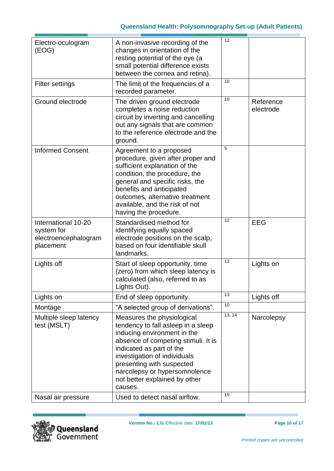| Electro-oculogram<br>(EOG)                                             | A non-invasive recording of the<br>changes in orientation of the<br>resting potential of the eye (a<br>small potential difference exists<br>between the cornea and retina).                                                                                                                                  | 12     |                        |
|------------------------------------------------------------------------|--------------------------------------------------------------------------------------------------------------------------------------------------------------------------------------------------------------------------------------------------------------------------------------------------------------|--------|------------------------|
| <b>Filter settings</b>                                                 | The limit of the frequencies of a<br>recorded parameter.                                                                                                                                                                                                                                                     | 10     |                        |
| Ground electrode                                                       | The driven ground electrode<br>completes a noise reduction<br>circuit by inverting and cancelling<br>out any signals that are common<br>to the reference electrode and the<br>ground.                                                                                                                        | 10     | Reference<br>electrode |
| <b>Informed Consent</b>                                                | Agreement to a proposed<br>procedure, given after proper and<br>sufficient explanation of the<br>condition, the procedure, the<br>general and specific risks, the<br>benefits and anticipated<br>outcomes, alternative treatment<br>available, and the risk of not<br>having the procedure.                  | 5      |                        |
| International 10-20<br>system for<br>electroencephalogram<br>placement | Standardised method for<br>identifying equally spaced<br>electrode positions on the scalp,<br>based on four identifiable skull<br>landmarks.                                                                                                                                                                 | 12     | <b>EEG</b>             |
| Lights off                                                             | Start of sleep opportunity, time<br>(zero) from which sleep latency is<br>calculated (also, referred to as<br>Lights Out).                                                                                                                                                                                   | 13     | Lights on              |
| Lights on                                                              | End of sleep opportunity.                                                                                                                                                                                                                                                                                    | 13     | Lights off             |
| Montage                                                                | "A selected group of derivations".                                                                                                                                                                                                                                                                           | 10     |                        |
| Multiple sleep latency<br>test (MSLT)                                  | Measures the physiological<br>tendency to fall asleep in a sleep<br>inducing environment in the<br>absence of competing stimuli. It is<br>indicated as part of the<br>investigation of individuals<br>presenting with suspected<br>narcolepsy or hypersomnolence<br>not better explained by other<br>causes. | 13, 14 | Narcolepsy             |
| Nasal air pressure                                                     | Used to detect nasal airflow.                                                                                                                                                                                                                                                                                | 15     |                        |



۰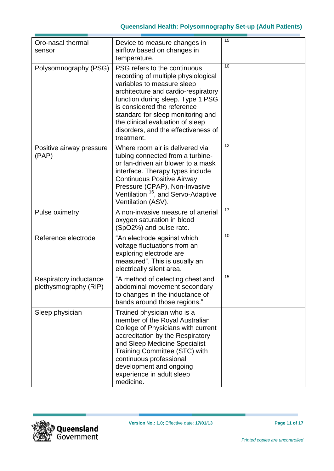#### **Queensland Health: Polysomnography Set-up (Adult Patients)**

| Oro-nasal thermal<br>sensor                     | Device to measure changes in<br>airflow based on changes in<br>temperature.                                                                                                                                                                                                                                                                | 15 |  |
|-------------------------------------------------|--------------------------------------------------------------------------------------------------------------------------------------------------------------------------------------------------------------------------------------------------------------------------------------------------------------------------------------------|----|--|
| Polysomnography (PSG)                           | PSG refers to the continuous<br>recording of multiple physiological<br>variables to measure sleep<br>architecture and cardio-respiratory<br>function during sleep. Type 1 PSG<br>is considered the reference<br>standard for sleep monitoring and<br>the clinical evaluation of sleep<br>disorders, and the effectiveness of<br>treatment. | 10 |  |
| Positive airway pressure<br>(PAP)               | Where room air is delivered via<br>tubing connected from a turbine-<br>or fan-driven air blower to a mask<br>interface. Therapy types include<br><b>Continuous Positive Airway</b><br>Pressure (CPAP), Non-Invasive<br>Ventilation <sup>16</sup> , and Servo-Adaptive<br>Ventilation (ASV).                                                | 12 |  |
| Pulse oximetry                                  | A non-invasive measure of arterial<br>oxygen saturation in blood<br>(SpO2%) and pulse rate.                                                                                                                                                                                                                                                | 17 |  |
| Reference electrode                             | "An electrode against which<br>voltage fluctuations from an<br>exploring electrode are<br>measured". This is usually an<br>electrically silent area.                                                                                                                                                                                       | 10 |  |
| Respiratory inductance<br>plethysmography (RIP) | "A method of detecting chest and<br>abdominal movement secondary<br>to changes in the inductance of<br>bands around those regions."                                                                                                                                                                                                        | 15 |  |
| Sleep physician                                 | Trained physician who is a<br>member of the Royal Australian<br>College of Physicians with current<br>accreditation by the Respiratory<br>and Sleep Medicine Specialist<br>Training Committee (STC) with<br>continuous professional<br>development and ongoing<br>experience in adult sleep<br>medicine.                                   |    |  |

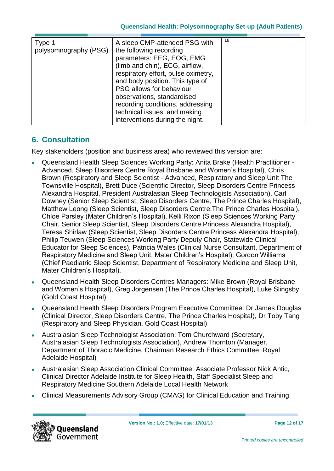#### **Queensland Health: Polysomnography Set-up (Adult Patients)**

#### **6. Consultation**

Key stakeholders (position and business area) who reviewed this version are:

- Queensland Health Sleep Sciences Working Party: Anita Brake (Health Practitioner Advanced, Sleep Disorders Centre Royal Brisbane and Women's Hospital), Chris Brown (Respiratory and Sleep Scientist - Advanced, Respiratory and Sleep Unit The Townsville Hospital), Brett Duce (Scientific Director, Sleep Disorders Centre Princess Alexandra Hospital, President Australasian Sleep Technologists Association), Carl Downey (Senior Sleep Scientist, Sleep Disorders Centre, The Prince Charles Hospital), Matthew Leong (Sleep Scientist, Sleep Disorders Centre,The Prince Charles Hospital), Chloe Parsley (Mater Children's Hospital), Kelli Rixon (Sleep Sciences Working Party Chair, Senior Sleep Scientist, Sleep Disorders Centre Princess Alexandra Hospital), Teresa Shirlaw (Sleep Scientist, Sleep Disorders Centre Princess Alexandra Hospital), Philip Teuwen (Sleep Sciences Working Party Deputy Chair, Statewide Clinical Educator for Sleep Sciences), Patricia Wales (Clinical Nurse Consultant, Department of Respiratory Medicine and Sleep Unit, Mater Children's Hospital), Gordon Williams (Chief Paediatric Sleep Scientist, Department of Respiratory Medicine and Sleep Unit, Mater Children's Hospital).
- Queensland Health Sleep Disorders Centres Managers: Mike Brown (Royal Brisbane and Women's Hospital), Greg Jorgensen (The Prince Charles Hospital), Luke Slingsby (Gold Coast Hospital)
- Queensland Health Sleep Disorders Program Executive Committee: Dr James Douglas (Clinical Director, Sleep Disorders Centre, The Prince Charles Hospital), Dr Toby Tang (Respiratory and Sleep Physician, Gold Coast Hospital)
- Australasian Sleep Technologist Association: Tom Churchward (Secretary, Australasian Sleep Technologists Association), Andrew Thornton (Manager, Department of Thoracic Medicine, Chairman Research Ethics Committee, Royal Adelaide Hospital)
- Australasian Sleep Association Clinical Committee: Associate Professor Nick Antic, Clinical Director Adelaide Institute for Sleep Health, Staff Specialist Sleep and Respiratory Medicine Southern Adelaide Local Health Network
- Clinical Measurements Advisory Group (CMAG) for Clinical Education and Training.

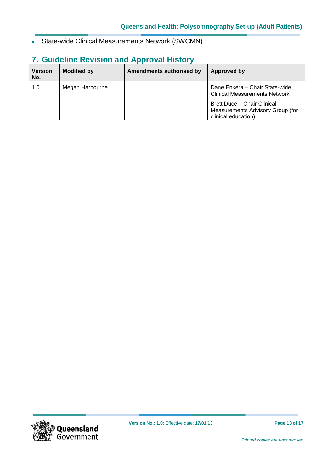State-wide Clinical Measurements Network (SWCMN)  $\bullet$ 

## **7. Guideline Revision and Approval History**

| <b>Version</b><br>No. | <b>Modified by</b> | <b>Amendments authorised by</b> | Approved by                                                                                           |
|-----------------------|--------------------|---------------------------------|-------------------------------------------------------------------------------------------------------|
| 1.0                   | Megan Harbourne    |                                 | Dane Enkera - Chair State-wide<br><b>Clinical Measurements Network</b><br>Brett Duce - Chair Clinical |
|                       |                    |                                 | Measurements Advisory Group (for<br>clinical education)                                               |

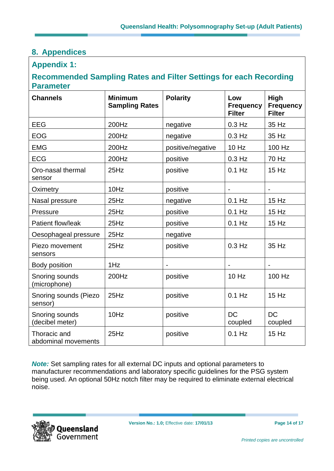## **8. Appendices**

#### **Appendix 1:**

#### **Recommended Sampling Rates and Filter Settings for each Recording Parameter**

| <b>Channels</b>                     | <b>Minimum</b><br><b>Sampling Rates</b> | <b>Polarity</b>   | Low<br><b>Frequency</b><br><b>Filter</b> | <b>High</b><br><b>Frequency</b><br><b>Filter</b> |
|-------------------------------------|-----------------------------------------|-------------------|------------------------------------------|--------------------------------------------------|
| <b>EEG</b>                          | 200Hz                                   | negative          | $0.3$ Hz                                 | 35 Hz                                            |
| <b>EOG</b>                          | 200Hz                                   | negative          | $0.3$ Hz                                 | 35 Hz                                            |
| <b>EMG</b>                          | 200Hz                                   | positive/negative | 10 Hz                                    | 100 Hz                                           |
| <b>ECG</b>                          | 200Hz                                   | positive          | $0.3$ Hz                                 | 70 Hz                                            |
| Oro-nasal thermal<br>sensor         | 25Hz                                    | positive          | $0.1$ Hz                                 | $15$ Hz                                          |
| Oximetry                            | 10Hz                                    | positive          |                                          |                                                  |
| Nasal pressure                      | 25Hz                                    | negative          | $0.1$ Hz                                 | 15 Hz                                            |
| Pressure                            | 25Hz                                    | positive          | $0.1$ Hz                                 | 15 Hz                                            |
| Patient flow/leak                   | 25Hz                                    | positive          | $0.1$ Hz                                 | 15 Hz                                            |
| Oesophageal pressure                | 25Hz                                    | negative          |                                          |                                                  |
| Piezo movement<br>sensors           | 25Hz                                    | positive          | $0.3$ Hz                                 | 35 Hz                                            |
| Body position                       | 1Hz                                     |                   |                                          | $\blacksquare$                                   |
| Snoring sounds<br>(microphone)      | 200Hz                                   | positive          | 10 Hz                                    | 100 Hz                                           |
| Snoring sounds (Piezo<br>sensor)    | 25Hz                                    | positive          | $0.1$ Hz                                 | 15 Hz                                            |
| Snoring sounds<br>(decibel meter)   | 10Hz                                    | positive          | <b>DC</b><br>coupled                     | <b>DC</b><br>coupled                             |
| Thoracic and<br>abdominal movements | 25Hz                                    | positive          | $0.1$ Hz                                 | 15 Hz                                            |

*Note:* Set sampling rates for all external DC inputs and optional parameters to manufacturer recommendations and laboratory specific guidelines for the PSG system being used. An optional 50Hz notch filter may be required to eliminate external electrical noise.

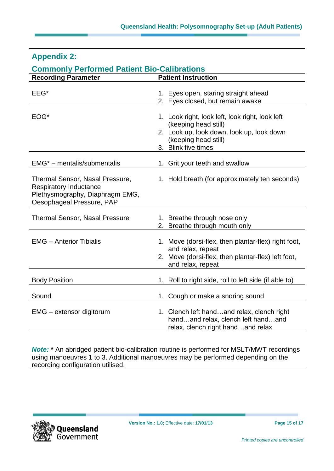| <u>Commonly Ferrormed Fatient Dio-Canorations</u>                                                                                |  |                                                                                                                                                                     |  |
|----------------------------------------------------------------------------------------------------------------------------------|--|---------------------------------------------------------------------------------------------------------------------------------------------------------------------|--|
| <b>Recording Parameter</b>                                                                                                       |  | <b>Patient Instruction</b>                                                                                                                                          |  |
| EEG*                                                                                                                             |  | 1. Eyes open, staring straight ahead<br>2. Eyes closed, but remain awake                                                                                            |  |
| EOG*                                                                                                                             |  | 1. Look right, look left, look right, look left<br>(keeping head still)<br>2. Look up, look down, look up, look down<br>(keeping head still)<br>3. Blink five times |  |
| $EMG^*$ – mentalis/submentalis                                                                                                   |  | 1. Grit your teeth and swallow                                                                                                                                      |  |
| Thermal Sensor, Nasal Pressure,<br><b>Respiratory Inductance</b><br>Plethysmography, Diaphragm EMG,<br>Oesophageal Pressure, PAP |  | 1. Hold breath (for approximately ten seconds)                                                                                                                      |  |
| <b>Thermal Sensor, Nasal Pressure</b>                                                                                            |  | 1. Breathe through nose only<br>2. Breathe through mouth only                                                                                                       |  |
| <b>EMG</b> - Anterior Tibialis                                                                                                   |  | 1. Move (dorsi-flex, then plantar-flex) right foot,<br>and relax, repeat<br>2. Move (dorsi-flex, then plantar-flex) left foot,<br>and relax, repeat                 |  |
| <b>Body Position</b>                                                                                                             |  | 1. Roll to right side, roll to left side (if able to)                                                                                                               |  |
| Sound                                                                                                                            |  | 1. Cough or make a snoring sound                                                                                                                                    |  |
| EMG - extensor digitorum                                                                                                         |  | 1. Clench left handand relax, clench right<br>handand relax, clench left handand<br>relax, clench right handand relax                                               |  |

### **Appendix 2:**

#### **Commonly Performed Patient Bio-Calibrations**

*Note:* **\*** An abridged patient bio-calibration routine is performed for MSLT/MWT recordings using manoeuvres 1 to 3. Additional manoeuvres may be performed depending on the recording configuration utilised.

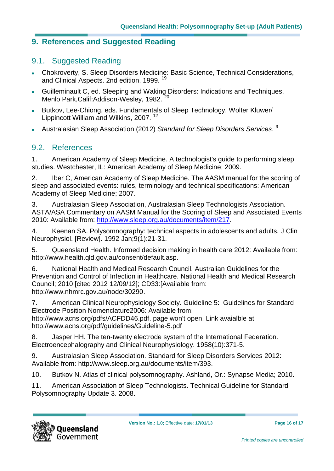#### **9. References and Suggested Reading**

#### 9.1. Suggested Reading

- Chokroverty, S. Sleep Disorders Medicine: Basic Science, Technical Considerations, and Clinical Aspects. 2nd edition. 1999. [19](#page-16-7)
- Guilleminault C, ed. Sleeping and Waking Disorders: Indications and Techniques.  $\bullet$  . Menlo Park, Calif: Addison-Wesley, 1982.
- Butkov, Lee-Chiong, eds. Fundamentals of Sleep Technology. Wolter Kluwer/  $\bullet$ Lippincott William and Wilkins, 2007. [12](#page-16-0)
- Australasian Sleep Association (2012) *Standard for Sleep Disorders Services*. [9](#page-15-8)  $\bullet$

#### 9.2. References

<span id="page-15-0"></span>1. American Academy of Sleep Medicine. A technologist's guide to performing sleep studies. Westchester, IL: American Academy of Sleep Medicine; 2009.

<span id="page-15-1"></span>2. Iber C, American Academy of Sleep Medicine. The AASM manual for the scoring of sleep and associated events: rules, terminology and technical specifications: American Academy of Sleep Medicine; 2007.

<span id="page-15-2"></span>3. Australasian Sleep Association, Australasian Sleep Technologists Association. ASTA/ASA Commentary on AASM Manual for the Scoring of Sleep and Associated Events 2010: Available from: [http://www.sleep.org.au/documents/item/217.](http://www.sleep.org.au/documents/item/217)

<span id="page-15-3"></span>4. Keenan SA. Polysomnography: technical aspects in adolescents and adults. J Clin Neurophysiol. [Review]. 1992 Jan;9(1):21-31.

<span id="page-15-4"></span>5. Queensland Health. Informed decision making in health care 2012: Available from: [http://www.health.qld.gov.au/consent/default.asp.](http://www.health.qld.gov.au/consent/default.asp)

<span id="page-15-5"></span>6. National Health and Medical Research Council. Australian Guidelines for the Prevention and Control of Infection in Healthcare. National Health and Medical Research Council; 2010 [cited 2012 12/09/12]; CD33:[Available from: [http://www.nhmrc.gov.au/node/30290.](http://www.nhmrc.gov.au/node/30290)

<span id="page-15-6"></span>7. American Clinical Neurophysiology Society. Guideline 5: Guidelines for Standard Electrode Position Nomenclature2006: Available from: [http://www.acns.org/pdfs/ACFDD46.pdf.](http://www.acns.org/pdfs/ACFDD46.pdf) page won't open. Link avaialble at http://www.acns.org/pdf/guidelines/Guideline-5.pdf

<span id="page-15-7"></span>8. Jasper HH. The ten-twenty electrode system of the International Federation. Electroencephalography and Clinical Neurophysiology. 1958(10):371-5.

<span id="page-15-8"></span>9. Australasian Sleep Association. Standard for Sleep Disorders Services 2012: Available from: [http://www.sleep.org.au/documents/item/393.](http://www.sleep.org.au/documents/item/393)

<span id="page-15-9"></span>10. Butkov N. Atlas of clinical polysomnography. Ashland, Or.: Synapse Media; 2010.

<span id="page-15-10"></span>11. American Association of Sleep Technologists. Technical Guideline for Standard Polysomnography Update 3. 2008.